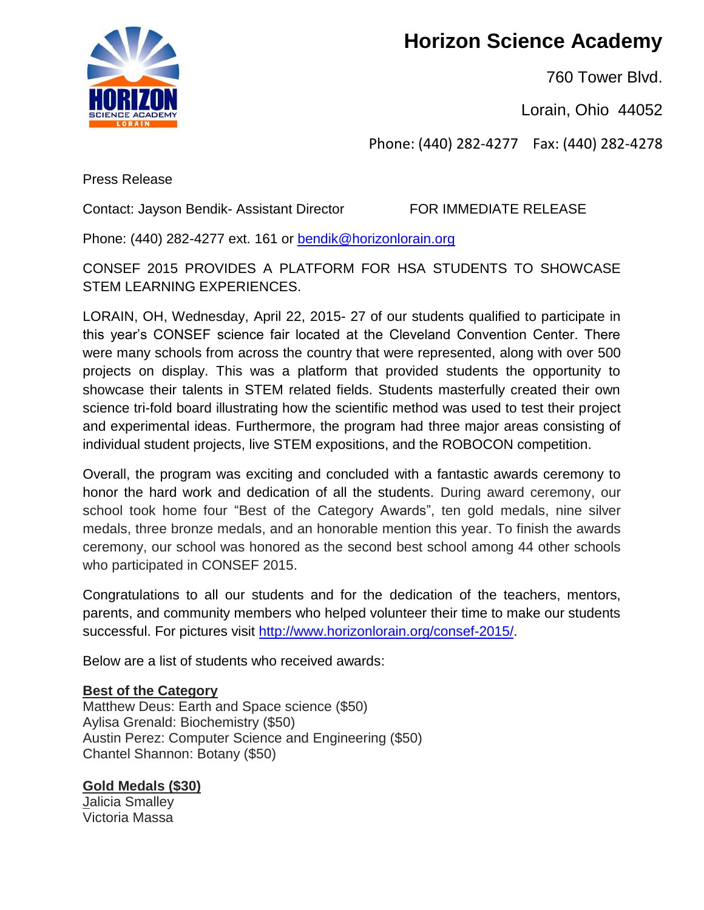**Horizon Science Academy**

760 Tower Blvd.

Lorain, Ohio 44052

Phone: (440) 282-4277 Fax: (440) 282-4278

Press Release

Contact: Jayson Bendik- Assistant Director FOR IMMEDIATE RELEASE

Phone: (440) 282-4277 ext. 161 or [bendik@horizonlorain.org](mailto:bendik@horizonlorain.org)

CONSEF 2015 PROVIDES A PLATFORM FOR HSA STUDENTS TO SHOWCASE STEM LEARNING EXPERIENCES.

LORAIN, OH, Wednesday, April 22, 2015- 27 of our students qualified to participate in this year's CONSEF science fair located at the Cleveland Convention Center. There were many schools from across the country that were represented, along with over 500 projects on display. This was a platform that provided students the opportunity to showcase their talents in STEM related fields. Students masterfully created their own science tri-fold board illustrating how the scientific method was used to test their project and experimental ideas. Furthermore, the program had three major areas consisting of individual student projects, live STEM expositions, and the ROBOCON competition.

Overall, the program was exciting and concluded with a fantastic awards ceremony to honor the hard work and dedication of all the students. During award ceremony, our school took home four "Best of the Category Awards", ten gold medals, nine silver medals, three bronze medals, and an honorable mention this year. To finish the awards ceremony, our school was honored as the second best school among 44 other schools who participated in CONSEF 2015.

Congratulations to all our students and for the dedication of the teachers, mentors, parents, and community members who helped volunteer their time to make our students successful. For pictures visit [http://www.horizonlorain.org/consef-2015/.](http://www.horizonlorain.org/consef-2015/)

Below are a list of students who received awards:

# **Best of the Category**

Matthew Deus: Earth and Space science (\$50) Aylisa Grenald: Biochemistry (\$50) Austin Perez: Computer Science and Engineering (\$50) Chantel Shannon: Botany (\$50)

# **Gold Medals (\$30)**

Jalicia Smalley Victoria Massa